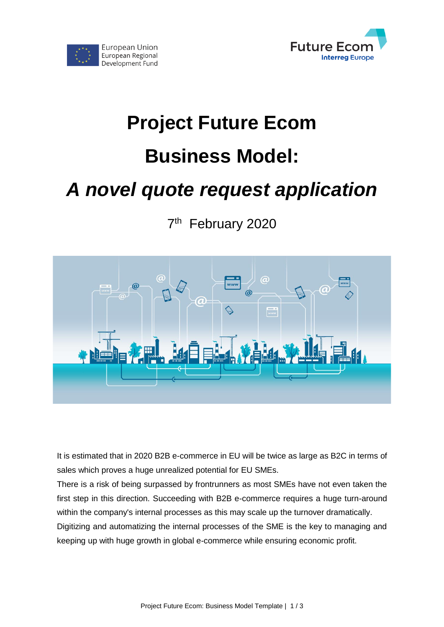



# **Project Future Ecom**

# **Business Model:**

# *A novel quote request application*

7<sup>th</sup> February 2020



It is estimated that in 2020 B2B e-commerce in EU will be twice as large as B2C in terms of sales which proves a huge unrealized potential for EU SMEs.

There is a risk of being surpassed by frontrunners as most SMEs have not even taken the first step in this direction. Succeeding with B2B e-commerce requires a huge turn-around within the company's internal processes as this may scale up the turnover dramatically. Digitizing and automatizing the internal processes of the SME is the key to managing and keeping up with huge growth in global e-commerce while ensuring economic profit.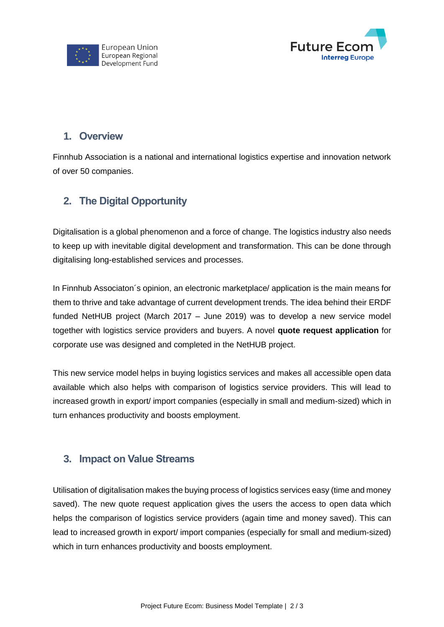



### **1. Overview**

Finnhub Association is a national and international logistics expertise and innovation network of over 50 companies.

## **2. The Digital Opportunity**

Digitalisation is a global phenomenon and a force of change. The logistics industry also needs to keep up with inevitable digital development and transformation. This can be done through digitalising long-established services and processes.

In Finnhub Associaton´s opinion, an electronic marketplace/ application is the main means for them to thrive and take advantage of current development trends. The idea behind their ERDF funded NetHUB project (March 2017 – June 2019) was to develop a new service model together with logistics service providers and buyers. A novel **quote request application** for corporate use was designed and completed in the NetHUB project.

This new service model helps in buying logistics services and makes all accessible open data available which also helps with comparison of logistics service providers. This will lead to increased growth in export/ import companies (especially in small and medium-sized) which in turn enhances productivity and boosts employment.

### **3. Impact on Value Streams**

Utilisation of digitalisation makes the buying process of logistics services easy (time and money saved). The new quote request application gives the users the access to open data which helps the comparison of logistics service providers (again time and money saved). This can lead to increased growth in export/ import companies (especially for small and medium-sized) which in turn enhances productivity and boosts employment.